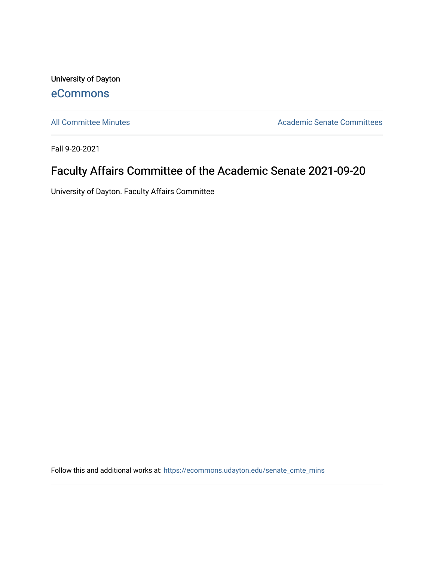University of Dayton [eCommons](https://ecommons.udayton.edu/)

[All Committee Minutes](https://ecommons.udayton.edu/senate_cmte_mins) **Academic Senate Committees** 

Fall 9-20-2021

## Faculty Affairs Committee of the Academic Senate 2021-09-20

University of Dayton. Faculty Affairs Committee

Follow this and additional works at: [https://ecommons.udayton.edu/senate\\_cmte\\_mins](https://ecommons.udayton.edu/senate_cmte_mins?utm_source=ecommons.udayton.edu%2Fsenate_cmte_mins%2F463&utm_medium=PDF&utm_campaign=PDFCoverPages)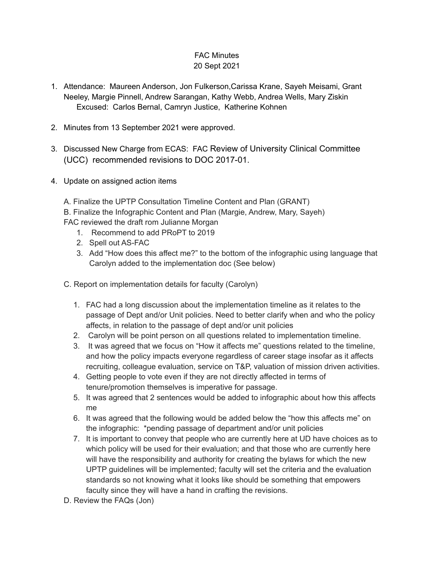## FAC Minutes 20 Sept 2021

- 1. Attendance: Maureen Anderson, Jon Fulkerson,Carissa Krane, Sayeh Meisami, Grant Neeley, Margie Pinnell, Andrew Sarangan, Kathy Webb, Andrea Wells, Mary Ziskin Excused: Carlos Bernal, Camryn Justice, Katherine Kohnen
- 2. Minutes from 13 September 2021 were approved.
- 3. Discussed New Charge from ECAS: FAC Review of University Clinical Committee (UCC) recommended revisions to DOC 2017-01.
- 4. Update on assigned action items

A. Finalize the UPTP Consultation Timeline Content and Plan (GRANT) B. Finalize the Infographic Content and Plan (Margie, Andrew, Mary, Sayeh) FAC reviewed the draft rom Julianne Morgan

- 1. Recommend to add PRoPT to 2019
- 2. Spell out AS-FAC
- 3. Add "How does this affect me?" to the bottom of the infographic using language that Carolyn added to the implementation doc (See below)
- C. Report on implementation details for faculty (Carolyn)
	- 1. FAC had a long discussion about the implementation timeline as it relates to the passage of Dept and/or Unit policies. Need to better clarify when and who the policy affects, in relation to the passage of dept and/or unit policies
	- 2. Carolyn will be point person on all questions related to implementation timeline.
	- 3. It was agreed that we focus on "How it affects me" questions related to the timeline, and how the policy impacts everyone regardless of career stage insofar as it affects recruiting, colleague evaluation, service on T&P, valuation of mission driven activities.
	- 4. Getting people to vote even if they are not directly affected in terms of tenure/promotion themselves is imperative for passage.
	- 5. It was agreed that 2 sentences would be added to infographic about how this affects me
	- 6. It was agreed that the following would be added below the "how this affects me" on the infographic: \*pending passage of department and/or unit policies
	- 7. It is important to convey that people who are currently here at UD have choices as to which policy will be used for their evaluation; and that those who are currently here will have the responsibility and authority for creating the bylaws for which the new UPTP guidelines will be implemented; faculty will set the criteria and the evaluation standards so not knowing what it looks like should be something that empowers faculty since they will have a hand in crafting the revisions.
- D. Review the FAQs (Jon)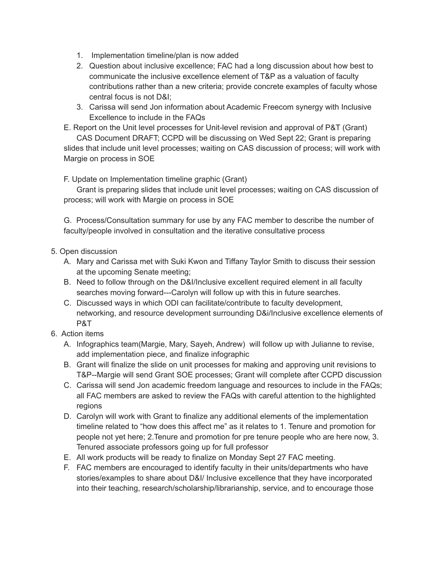- 1. Implementation timeline/plan is now added
- 2. Question about inclusive excellence; FAC had a long discussion about how best to communicate the inclusive excellence element of T&P as a valuation of faculty contributions rather than a new criteria; provide concrete examples of faculty whose central focus is not D&I;
- 3. Carissa will send Jon information about Academic Freecom synergy with Inclusive Excellence to include in the FAQs
- E. Report on the Unit level processes for Unit-level revision and approval of P&T (Grant)

CAS Document DRAFT; CCPD will be discussing on Wed Sept 22; Grant is preparing slides that include unit level processes; waiting on CAS discussion of process; will work with Margie on process in SOE

F. Update on Implementation timeline graphic (Grant)

Grant is preparing slides that include unit level processes; waiting on CAS discussion of process; will work with Margie on process in SOE

G. Process/Consultation summary for use by any FAC member to describe the number of faculty/people involved in consultation and the iterative consultative process

- 5. Open discussion
	- A. Mary and Carissa met with Suki Kwon and Tiffany Taylor Smith to discuss their session at the upcoming Senate meeting;
	- B. Need to follow through on the D&I/Inclusive excellent required element in all faculty searches moving forward---Carolyn will follow up with this in future searches.
	- C. Discussed ways in which ODI can facilitate/contribute to faculty development, networking, and resource development surrounding D&i/Inclusive excellence elements of P&T
- 6. Action items
	- A. Infographics team(Margie, Mary, Sayeh, Andrew) will follow up with Julianne to revise, add implementation piece, and finalize infographic
	- B. Grant will finalize the slide on unit processes for making and approving unit revisions to T&P--Margie will send Grant SOE processes; Grant will complete after CCPD discussion
	- C. Carissa will send Jon academic freedom language and resources to include in the FAQs; all FAC members are asked to review the FAQs with careful attention to the highlighted regions
	- D. Carolyn will work with Grant to finalize any additional elements of the implementation timeline related to "how does this affect me" as it relates to 1. Tenure and promotion for people not yet here; 2.Tenure and promotion for pre tenure people who are here now, 3. Tenured associate professors going up for full professor
	- E. All work products will be ready to finalize on Monday Sept 27 FAC meeting.
	- F. FAC members are encouraged to identify faculty in their units/departments who have stories/examples to share about D&I/ Inclusive excellence that they have incorporated into their teaching, research/scholarship/librarianship, service, and to encourage those